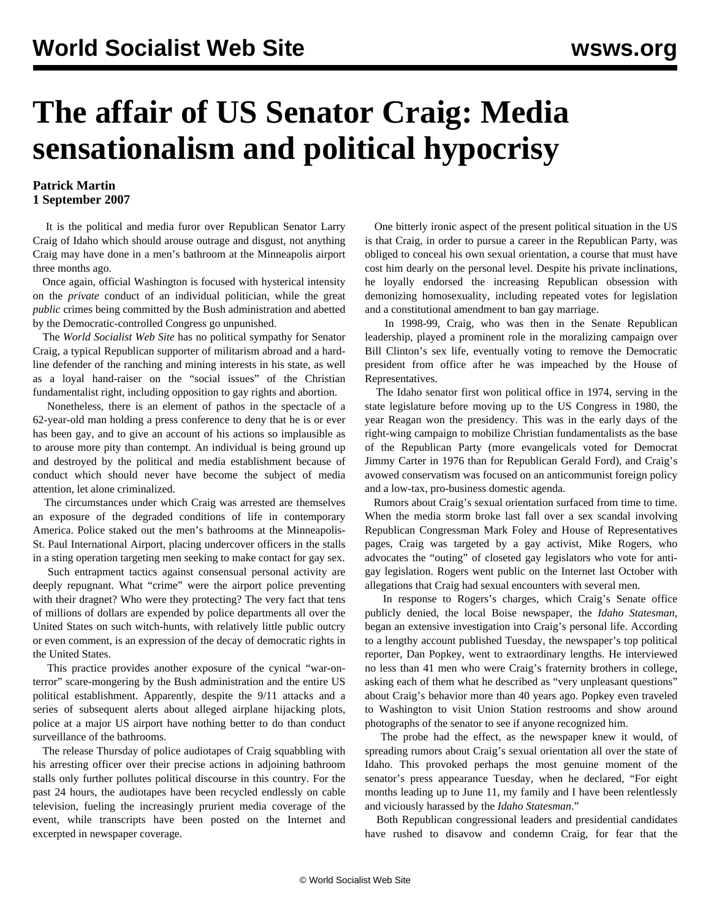## **The affair of US Senator Craig: Media sensationalism and political hypocrisy**

## **Patrick Martin 1 September 2007**

 It is the political and media furor over Republican Senator Larry Craig of Idaho which should arouse outrage and disgust, not anything Craig may have done in a men's bathroom at the Minneapolis airport three months ago.

 Once again, official Washington is focused with hysterical intensity on the *private* conduct of an individual politician, while the great *public* crimes being committed by the Bush administration and abetted by the Democratic-controlled Congress go unpunished.

 The *World Socialist Web Site* has no political sympathy for Senator Craig, a typical Republican supporter of militarism abroad and a hardline defender of the ranching and mining interests in his state, as well as a loyal hand-raiser on the "social issues" of the Christian fundamentalist right, including opposition to gay rights and abortion.

 Nonetheless, there is an element of pathos in the spectacle of a 62-year-old man holding a press conference to deny that he is or ever has been gay, and to give an account of his actions so implausible as to arouse more pity than contempt. An individual is being ground up and destroyed by the political and media establishment because of conduct which should never have become the subject of media attention, let alone criminalized.

 The circumstances under which Craig was arrested are themselves an exposure of the degraded conditions of life in contemporary America. Police staked out the men's bathrooms at the Minneapolis-St. Paul International Airport, placing undercover officers in the stalls in a sting operation targeting men seeking to make contact for gay sex.

 Such entrapment tactics against consensual personal activity are deeply repugnant. What "crime" were the airport police preventing with their dragnet? Who were they protecting? The very fact that tens of millions of dollars are expended by police departments all over the United States on such witch-hunts, with relatively little public outcry or even comment, is an expression of the decay of democratic rights in the United States.

 This practice provides another exposure of the cynical "war-onterror" scare-mongering by the Bush administration and the entire US political establishment. Apparently, despite the 9/11 attacks and a series of subsequent alerts about alleged airplane hijacking plots, police at a major US airport have nothing better to do than conduct surveillance of the bathrooms.

 The release Thursday of police audiotapes of Craig squabbling with his arresting officer over their precise actions in adjoining bathroom stalls only further pollutes political discourse in this country. For the past 24 hours, the audiotapes have been recycled endlessly on cable television, fueling the increasingly prurient media coverage of the event, while transcripts have been posted on the Internet and excerpted in newspaper coverage.

 One bitterly ironic aspect of the present political situation in the US is that Craig, in order to pursue a career in the Republican Party, was obliged to conceal his own sexual orientation, a course that must have cost him dearly on the personal level. Despite his private inclinations, he loyally endorsed the increasing Republican obsession with demonizing homosexuality, including repeated votes for legislation and a constitutional amendment to ban gay marriage.

 In 1998-99, Craig, who was then in the Senate Republican leadership, played a prominent role in the moralizing campaign over Bill Clinton's sex life, eventually voting to remove the Democratic president from office after he was impeached by the House of Representatives.

 The Idaho senator first won political office in 1974, serving in the state legislature before moving up to the US Congress in 1980, the year Reagan won the presidency. This was in the early days of the right-wing campaign to mobilize Christian fundamentalists as the base of the Republican Party (more evangelicals voted for Democrat Jimmy Carter in 1976 than for Republican Gerald Ford), and Craig's avowed conservatism was focused on an anticommunist foreign policy and a low-tax, pro-business domestic agenda.

 Rumors about Craig's sexual orientation surfaced from time to time. When the media storm broke last fall over a sex scandal involving Republican Congressman Mark Foley and House of Representatives pages, Craig was targeted by a gay activist, Mike Rogers, who advocates the "outing" of closeted gay legislators who vote for antigay legislation. Rogers went public on the Internet last October with allegations that Craig had sexual encounters with several men.

 In response to Rogers's charges, which Craig's Senate office publicly denied, the local Boise newspaper, the *Idaho Statesman*, began an extensive investigation into Craig's personal life. According to a lengthy account published Tuesday, the newspaper's top political reporter, Dan Popkey, went to extraordinary lengths. He interviewed no less than 41 men who were Craig's fraternity brothers in college, asking each of them what he described as "very unpleasant questions" about Craig's behavior more than 40 years ago. Popkey even traveled to Washington to visit Union Station restrooms and show around photographs of the senator to see if anyone recognized him.

 The probe had the effect, as the newspaper knew it would, of spreading rumors about Craig's sexual orientation all over the state of Idaho. This provoked perhaps the most genuine moment of the senator's press appearance Tuesday, when he declared, "For eight months leading up to June 11, my family and I have been relentlessly and viciously harassed by the *Idaho Statesman*."

 Both Republican congressional leaders and presidential candidates have rushed to disavow and condemn Craig, for fear that the